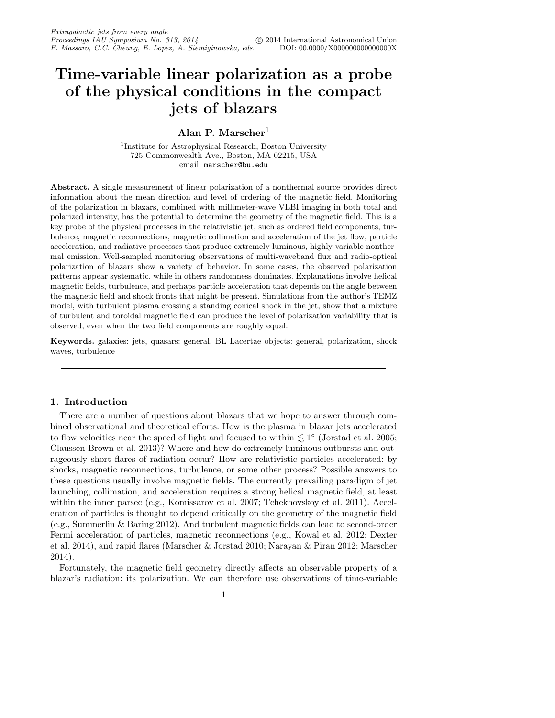# Time-variable linear polarization as a probe of the physical conditions in the compact jets of blazars

## Alan P. Marscher<sup>1</sup>

<sup>1</sup>Institute for Astrophysical Research, Boston University 725 Commonwealth Ave., Boston, MA 02215, USA email: marscher@bu.edu

Abstract. A single measurement of linear polarization of a nonthermal source provides direct information about the mean direction and level of ordering of the magnetic field. Monitoring of the polarization in blazars, combined with millimeter-wave VLBI imaging in both total and polarized intensity, has the potential to determine the geometry of the magnetic field. This is a key probe of the physical processes in the relativistic jet, such as ordered field components, turbulence, magnetic reconnections, magnetic collimation and acceleration of the jet flow, particle acceleration, and radiative processes that produce extremely luminous, highly variable nonthermal emission. Well-sampled monitoring observations of multi-waveband flux and radio-optical polarization of blazars show a variety of behavior. In some cases, the observed polarization patterns appear systematic, while in others randomness dominates. Explanations involve helical magnetic fields, turbulence, and perhaps particle acceleration that depends on the angle between the magnetic field and shock fronts that might be present. Simulations from the author's TEMZ model, with turbulent plasma crossing a standing conical shock in the jet, show that a mixture of turbulent and toroidal magnetic field can produce the level of polarization variability that is observed, even when the two field components are roughly equal.

Keywords. galaxies: jets, quasars: general, BL Lacertae objects: general, polarization, shock waves, turbulence

## 1. Introduction

There are a number of questions about blazars that we hope to answer through combined observational and theoretical efforts. How is the plasma in blazar jets accelerated to flow velocities near the speed of light and focused to within  $\lesssim 1^{\circ}$  (Jorstad et al. 2005; Claussen-Brown et al. 2013)? Where and how do extremely luminous outbursts and outrageously short flares of radiation occur? How are relativistic particles accelerated: by shocks, magnetic reconnections, turbulence, or some other process? Possible answers to these questions usually involve magnetic fields. The currently prevailing paradigm of jet launching, collimation, and acceleration requires a strong helical magnetic field, at least within the inner parsec (e.g., Komissarov et al. 2007; Tchekhovskoy et al. 2011). Acceleration of particles is thought to depend critically on the geometry of the magnetic field (e.g., Summerlin & Baring 2012). And turbulent magnetic fields can lead to second-order Fermi acceleration of particles, magnetic reconnections (e.g., Kowal et al. 2012; Dexter et al. 2014), and rapid flares (Marscher & Jorstad 2010; Narayan & Piran 2012; Marscher 2014).

Fortunately, the magnetic field geometry directly affects an observable property of a blazar's radiation: its polarization. We can therefore use observations of time-variable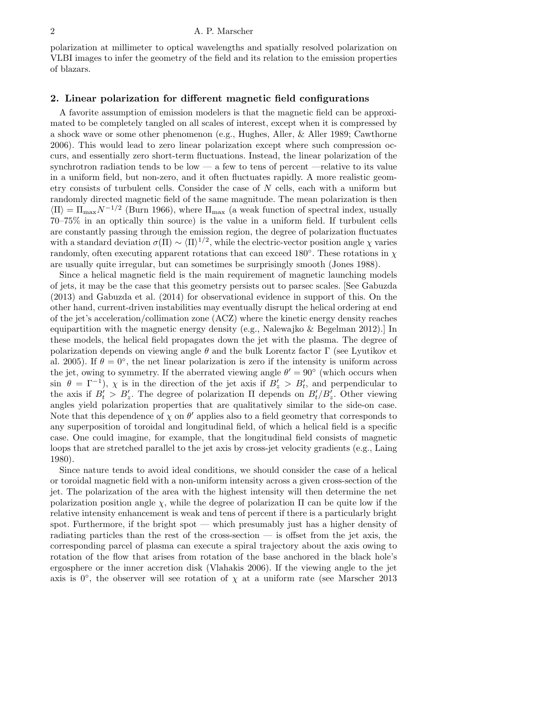#### 2 A. P. Marscher

polarization at millimeter to optical wavelengths and spatially resolved polarization on VLBI images to infer the geometry of the field and its relation to the emission properties of blazars.

#### 2. Linear polarization for different magnetic field configurations

A favorite assumption of emission modelers is that the magnetic field can be approximated to be completely tangled on all scales of interest, except when it is compressed by a shock wave or some other phenomenon (e.g., Hughes, Aller, & Aller 1989; Cawthorne 2006). This would lead to zero linear polarization except where such compression occurs, and essentially zero short-term fluctuations. Instead, the linear polarization of the synchrotron radiation tends to be low — a few to tens of percent —relative to its value in a uniform field, but non-zero, and it often fluctuates rapidly. A more realistic geometry consists of turbulent cells. Consider the case of N cells, each with a uniform but randomly directed magnetic field of the same magnitude. The mean polarization is then  $\langle \Pi \rangle = \Pi_{\text{max}} N^{-1/2}$  (Burn 1966), where  $\Pi_{\text{max}}$  (a weak function of spectral index, usually 70–75% in an optically thin source) is the value in a uniform field. If turbulent cells are constantly passing through the emission region, the degree of polarization fluctuates with a standard deviation  $\sigma(\Pi) \sim \langle \Pi \rangle^{1/2}$ , while the electric-vector position angle  $\chi$  varies randomly, often executing apparent rotations that can exceed 180 $^{\circ}$ . These rotations in  $\chi$ are usually quite irregular, but can sometimes be surprisingly smooth (Jones 1988).

Since a helical magnetic field is the main requirement of magnetic launching models of jets, it may be the case that this geometry persists out to parsec scales. [See Gabuzda (2013) and Gabuzda et al. (2014) for observational evidence in support of this. On the other hand, current-driven instabilities may eventually disrupt the helical ordering at end of the jet's acceleration/collimation zone (ACZ) where the kinetic energy density reaches equipartition with the magnetic energy density (e.g., Nalewajko & Begelman 2012).] In these models, the helical field propagates down the jet with the plasma. The degree of polarization depends on viewing angle  $\theta$  and the bulk Lorentz factor Γ (see Lyutikov et al. 2005). If  $\theta = 0^{\circ}$ , the net linear polarization is zero if the intensity is uniform across the jet, owing to symmetry. If the aberrated viewing angle  $\theta' = 90^{\circ}$  (which occurs when sin  $\theta = \Gamma^{-1}$ ,  $\chi$  is in the direction of the jet axis if  $B_z' > B_t'$ , and perpendicular to the axis if  $B'_t > B'_z$ . The degree of polarization  $\Pi$  depends on  $B'_t/B'_z$ . Other viewing angles yield polarization properties that are qualitatively similar to the side-on case. Note that this dependence of  $\chi$  on  $\theta'$  applies also to a field geometry that corresponds to any superposition of toroidal and longitudinal field, of which a helical field is a specific case. One could imagine, for example, that the longitudinal field consists of magnetic loops that are stretched parallel to the jet axis by cross-jet velocity gradients (e.g., Laing 1980).

Since nature tends to avoid ideal conditions, we should consider the case of a helical or toroidal magnetic field with a non-uniform intensity across a given cross-section of the jet. The polarization of the area with the highest intensity will then determine the net polarization position angle  $\chi$ , while the degree of polarization  $\Pi$  can be quite low if the relative intensity enhancement is weak and tens of percent if there is a particularly bright spot. Furthermore, if the bright spot — which presumably just has a higher density of radiating particles than the rest of the cross-section — is offset from the jet axis, the corresponding parcel of plasma can execute a spiral trajectory about the axis owing to rotation of the flow that arises from rotation of the base anchored in the black hole's ergosphere or the inner accretion disk (Vlahakis 2006). If the viewing angle to the jet axis is  $0^{\circ}$ , the observer will see rotation of  $\chi$  at a uniform rate (see Marscher 2013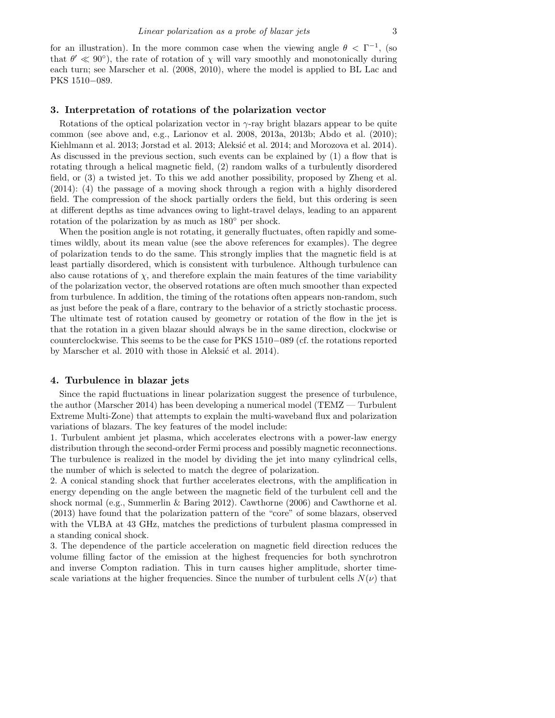for an illustration). In the more common case when the viewing angle  $\theta < \Gamma^{-1}$ , (so that  $\theta' \ll 90^{\circ}$ ), the rate of rotation of  $\chi$  will vary smoothly and monotonically during each turn; see Marscher et al. (2008, 2010), where the model is applied to BL Lac and PKS 1510−089.

## 3. Interpretation of rotations of the polarization vector

Rotations of the optical polarization vector in  $\gamma$ -ray bright blazars appear to be quite common (see above and, e.g., Larionov et al. 2008, 2013a, 2013b; Abdo et al. (2010); Kiehlmann et al. 2013; Jorstad et al. 2013; Aleksić et al. 2014; and Morozova et al. 2014). As discussed in the previous section, such events can be explained by (1) a flow that is rotating through a helical magnetic field, (2) random walks of a turbulently disordered field, or (3) a twisted jet. To this we add another possibility, proposed by Zheng et al. (2014): (4) the passage of a moving shock through a region with a highly disordered field. The compression of the shock partially orders the field, but this ordering is seen at different depths as time advances owing to light-travel delays, leading to an apparent rotation of the polarization by as much as 180◦ per shock.

When the position angle is not rotating, it generally fluctuates, often rapidly and sometimes wildly, about its mean value (see the above references for examples). The degree of polarization tends to do the same. This strongly implies that the magnetic field is at least partially disordered, which is consistent with turbulence. Although turbulence can also cause rotations of  $\chi$ , and therefore explain the main features of the time variability of the polarization vector, the observed rotations are often much smoother than expected from turbulence. In addition, the timing of the rotations often appears non-random, such as just before the peak of a flare, contrary to the behavior of a strictly stochastic process. The ultimate test of rotation caused by geometry or rotation of the flow in the jet is that the rotation in a given blazar should always be in the same direction, clockwise or counterclockwise. This seems to be the case for PKS 1510−089 (cf. the rotations reported by Marscher et al. 2010 with those in Aleksić et al. 2014).

#### 4. Turbulence in blazar jets

Since the rapid fluctuations in linear polarization suggest the presence of turbulence, the author (Marscher 2014) has been developing a numerical model (TEMZ — Turbulent Extreme Multi-Zone) that attempts to explain the multi-waveband flux and polarization variations of blazars. The key features of the model include:

1. Turbulent ambient jet plasma, which accelerates electrons with a power-law energy distribution through the second-order Fermi process and possibly magnetic reconnections. The turbulence is realized in the model by dividing the jet into many cylindrical cells, the number of which is selected to match the degree of polarization.

2. A conical standing shock that further accelerates electrons, with the amplification in energy depending on the angle between the magnetic field of the turbulent cell and the shock normal (e.g., Summerlin & Baring 2012). Cawthorne (2006) and Cawthorne et al. (2013) have found that the polarization pattern of the "core" of some blazars, observed with the VLBA at 43 GHz, matches the predictions of turbulent plasma compressed in a standing conical shock.

3. The dependence of the particle acceleration on magnetic field direction reduces the volume filling factor of the emission at the highest frequencies for both synchrotron and inverse Compton radiation. This in turn causes higher amplitude, shorter timescale variations at the higher frequencies. Since the number of turbulent cells  $N(\nu)$  that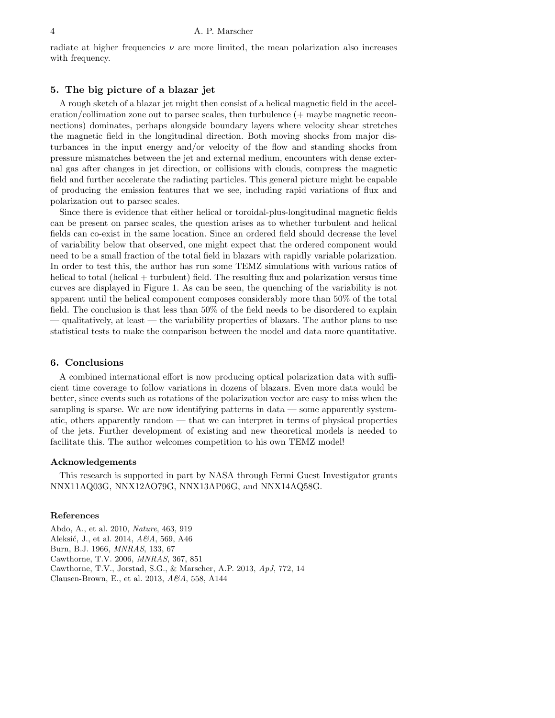radiate at higher frequencies  $\nu$  are more limited, the mean polarization also increases with frequency.

## 5. The big picture of a blazar jet

A rough sketch of a blazar jet might then consist of a helical magnetic field in the acceleration/collimation zone out to parsec scales, then turbulence (+ maybe magnetic reconnections) dominates, perhaps alongside boundary layers where velocity shear stretches the magnetic field in the longitudinal direction. Both moving shocks from major disturbances in the input energy and/or velocity of the flow and standing shocks from pressure mismatches between the jet and external medium, encounters with dense external gas after changes in jet direction, or collisions with clouds, compress the magnetic field and further accelerate the radiating particles. This general picture might be capable of producing the emission features that we see, including rapid variations of flux and polarization out to parsec scales.

Since there is evidence that either helical or toroidal-plus-longitudinal magnetic fields can be present on parsec scales, the question arises as to whether turbulent and helical fields can co-exist in the same location. Since an ordered field should decrease the level of variability below that observed, one might expect that the ordered component would need to be a small fraction of the total field in blazars with rapidly variable polarization. In order to test this, the author has run some TEMZ simulations with various ratios of helical to total (helical  $+$  turbulent) field. The resulting flux and polarization versus time curves are displayed in Figure 1. As can be seen, the quenching of the variability is not apparent until the helical component composes considerably more than 50% of the total field. The conclusion is that less than 50% of the field needs to be disordered to explain — qualitatively, at least — the variability properties of blazars. The author plans to use statistical tests to make the comparison between the model and data more quantitative.

#### 6. Conclusions

A combined international effort is now producing optical polarization data with sufficient time coverage to follow variations in dozens of blazars. Even more data would be better, since events such as rotations of the polarization vector are easy to miss when the sampling is sparse. We are now identifying patterns in data — some apparently systematic, others apparently random — that we can interpret in terms of physical properties of the jets. Further development of existing and new theoretical models is needed to facilitate this. The author welcomes competition to his own TEMZ model!

### Acknowledgements

This research is supported in part by NASA through Fermi Guest Investigator grants NNX11AQ03G, NNX12AO79G, NNX13AP06G, and NNX14AQ58G.

#### References

Abdo, A., et al. 2010, Nature, 463, 919 Aleksić, J., et al. 2014, A&A, 569, A46 Burn, B.J. 1966, MNRAS, 133, 67 Cawthorne, T.V. 2006, MNRAS, 367, 851 Cawthorne, T.V., Jorstad, S.G., & Marscher, A.P. 2013, ApJ, 772, 14 Clausen-Brown, E., et al. 2013, A&A, 558, A144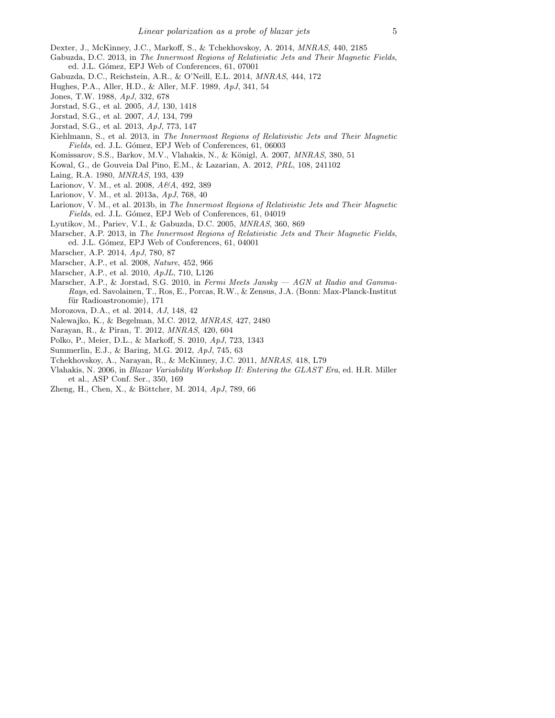- Dexter, J., McKinney, J.C., Markoff, S., & Tchekhovskoy, A. 2014, MNRAS, 440, 2185
- Gabuzda, D.C. 2013, in The Innermost Regions of Relativistic Jets and Their Magnetic Fields, ed. J.L. Gómez, EPJ Web of Conferences, 61, 07001
- Gabuzda, D.C., Reichstein, A.R., & O'Neill, E.L. 2014, MNRAS, 444, 172
- Hughes, P.A., Aller, H.D., & Aller, M.F. 1989, ApJ, 341, 54
- Jones, T.W. 1988, ApJ, 332, 678
- Jorstad, S.G., et al. 2005, AJ, 130, 1418
- Jorstad, S.G., et al. 2007, AJ, 134, 799
- Jorstad, S.G., et al. 2013, ApJ, 773, 147
- Kiehlmann, S., et al. 2013, in The Innermost Regions of Relativistic Jets and Their Magnetic Fields, ed. J.L. Gómez, EPJ Web of Conferences, 61, 06003
- Komissarov, S.S., Barkov, M.V., Vlahakis, N., & Königl, A. 2007, *MNRAS*, 380, 51
- Kowal, G., de Gouveia Dal Pino, E.M., & Lazarian, A. 2012, PRL, 108, 241102
- Laing, R.A. 1980, MNRAS, 193, 439
- Larionov, V. M., et al. 2008, A&A, 492, 389
- Larionov, V. M., et al. 2013a, ApJ, 768, 40
- Larionov, V. M., et al. 2013b, in The Innermost Regions of Relativistic Jets and Their Magnetic Fields, ed. J.L. Gómez, EPJ Web of Conferences, 61, 04019
- Lyutikov, M., Pariev, V.I., & Gabuzda, D.C. 2005, MNRAS, 360, 869
- Marscher, A.P. 2013, in The Innermost Regions of Relativistic Jets and Their Magnetic Fields, ed. J.L. Gómez, EPJ Web of Conferences, 61, 04001
- Marscher, A.P. 2014, ApJ, 780, 87
- Marscher, A.P., et al. 2008, Nature, 452, 966
- Marscher, A.P., et al. 2010, ApJL, 710, L126
- Marscher, A.P., & Jorstad, S.G. 2010, in Fermi Meets Jansky  $AGN$  at Radio and Gamma-Rays, ed. Savolainen, T., Ros, E., Porcas, R.W., & Zensus, J.A. (Bonn: Max-Planck-Institut für Radioastronomie), 171
- Morozova, D.A., et al. 2014, AJ, 148, 42
- Nalewajko, K., & Begelman, M.C. 2012, MNRAS, 427, 2480
- Narayan, R., & Piran, T. 2012, MNRAS, 420, 604
- Polko, P., Meier, D.L., & Markoff, S. 2010, ApJ, 723, 1343
- Summerlin, E.J., & Baring, M.G. 2012, ApJ, 745, 63
- Tchekhovskoy, A., Narayan, R., & McKinney, J.C. 2011, MNRAS, 418, L79
- Vlahakis, N. 2006, in Blazar Variability Workshop II: Entering the GLAST Era, ed. H.R. Miller et al., ASP Conf. Ser., 350, 169
- Zheng, H., Chen, X., & Böttcher, M. 2014, ApJ, 789, 66